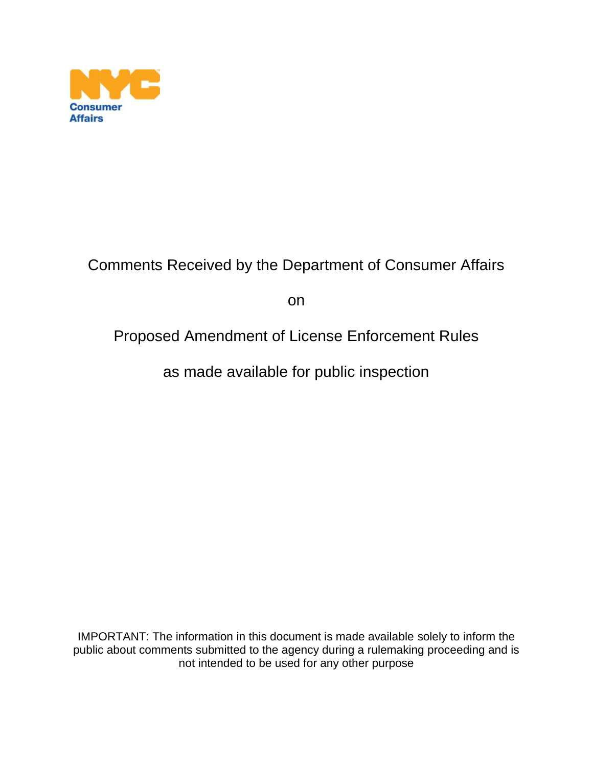

# Comments Received by the Department of Consumer Affairs

on

# Proposed Amendment of License Enforcement Rules

as made available for public inspection

IMPORTANT: The information in this document is made available solely to inform the public about comments submitted to the agency during a rulemaking proceeding and is not intended to be used for any other purpose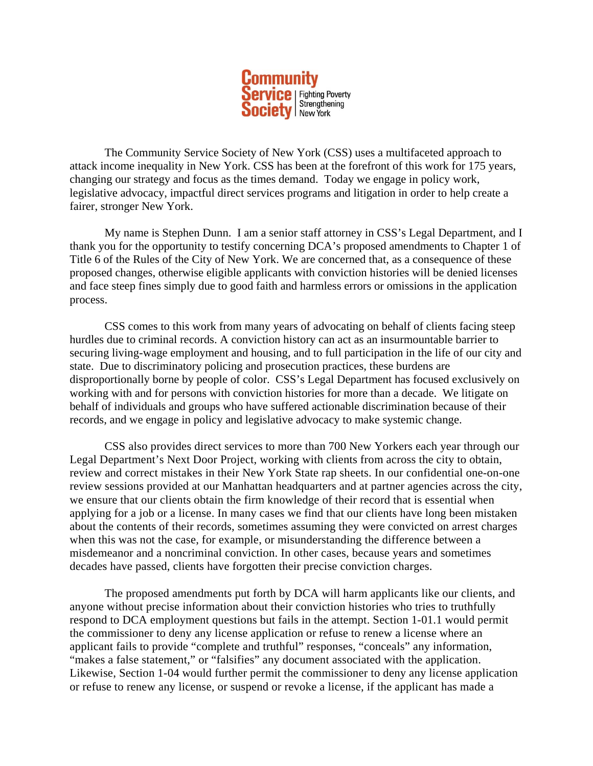

The Community Service Society of New York (CSS) uses a multifaceted approach to attack income inequality in New York. CSS has been at the forefront of this work for 175 years, changing our strategy and focus as the times demand. Today we engage in policy work, legislative advocacy, impactful direct services programs and litigation in order to help create a fairer, stronger New York.

My name is Stephen Dunn. I am a senior staff attorney in CSS's Legal Department, and I thank you for the opportunity to testify concerning DCA's proposed amendments to Chapter 1 of Title 6 of the Rules of the City of New York. We are concerned that, as a consequence of these proposed changes, otherwise eligible applicants with conviction histories will be denied licenses and face steep fines simply due to good faith and harmless errors or omissions in the application process.

CSS comes to this work from many years of advocating on behalf of clients facing steep hurdles due to criminal records. A conviction history can act as an insurmountable barrier to securing living-wage employment and housing, and to full participation in the life of our city and state. Due to discriminatory policing and prosecution practices, these burdens are disproportionally borne by people of color. CSS's Legal Department has focused exclusively on working with and for persons with conviction histories for more than a decade. We litigate on behalf of individuals and groups who have suffered actionable discrimination because of their records, and we engage in policy and legislative advocacy to make systemic change.

CSS also provides direct services to more than 700 New Yorkers each year through our Legal Department's Next Door Project, working with clients from across the city to obtain, review and correct mistakes in their New York State rap sheets. In our confidential one-on-one review sessions provided at our Manhattan headquarters and at partner agencies across the city, we ensure that our clients obtain the firm knowledge of their record that is essential when applying for a job or a license. In many cases we find that our clients have long been mistaken about the contents of their records, sometimes assuming they were convicted on arrest charges when this was not the case, for example, or misunderstanding the difference between a misdemeanor and a noncriminal conviction. In other cases, because years and sometimes decades have passed, clients have forgotten their precise conviction charges.

The proposed amendments put forth by DCA will harm applicants like our clients, and anyone without precise information about their conviction histories who tries to truthfully respond to DCA employment questions but fails in the attempt. Section 1-01.1 would permit the commissioner to deny any license application or refuse to renew a license where an applicant fails to provide "complete and truthful" responses, "conceals" any information, "makes a false statement," or "falsifies" any document associated with the application. Likewise, Section 1-04 would further permit the commissioner to deny any license application or refuse to renew any license, or suspend or revoke a license, if the applicant has made a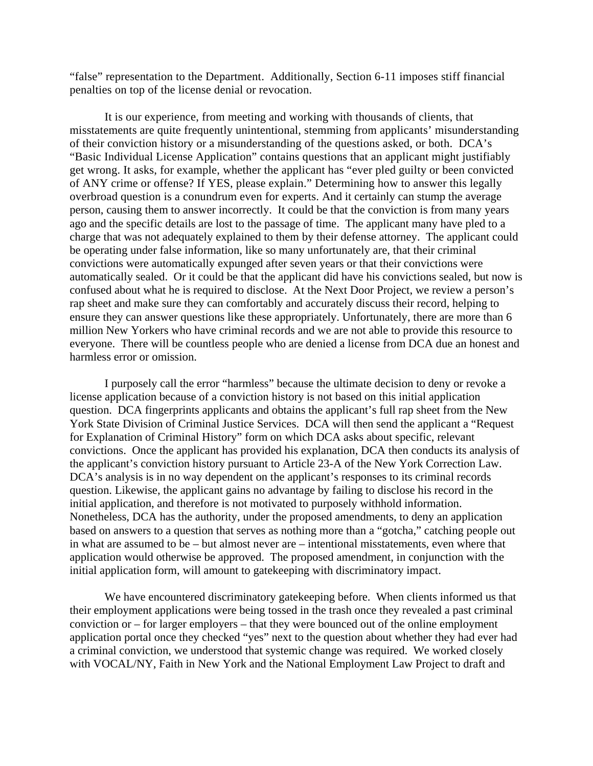"false" representation to the Department. Additionally, Section 6-11 imposes stiff financial penalties on top of the license denial or revocation.

It is our experience, from meeting and working with thousands of clients, that misstatements are quite frequently unintentional, stemming from applicants' misunderstanding of their conviction history or a misunderstanding of the questions asked, or both. DCA's "Basic Individual License Application" contains questions that an applicant might justifiably get wrong. It asks, for example, whether the applicant has "ever pled guilty or been convicted of ANY crime or offense? If YES, please explain." Determining how to answer this legally overbroad question is a conundrum even for experts. And it certainly can stump the average person, causing them to answer incorrectly. It could be that the conviction is from many years ago and the specific details are lost to the passage of time. The applicant many have pled to a charge that was not adequately explained to them by their defense attorney. The applicant could be operating under false information, like so many unfortunately are, that their criminal convictions were automatically expunged after seven years or that their convictions were automatically sealed. Or it could be that the applicant did have his convictions sealed, but now is confused about what he is required to disclose. At the Next Door Project, we review a person's rap sheet and make sure they can comfortably and accurately discuss their record, helping to ensure they can answer questions like these appropriately. Unfortunately, there are more than 6 million New Yorkers who have criminal records and we are not able to provide this resource to everyone. There will be countless people who are denied a license from DCA due an honest and harmless error or omission.

I purposely call the error "harmless" because the ultimate decision to deny or revoke a license application because of a conviction history is not based on this initial application question. DCA fingerprints applicants and obtains the applicant's full rap sheet from the New York State Division of Criminal Justice Services. DCA will then send the applicant a "Request for Explanation of Criminal History" form on which DCA asks about specific, relevant convictions. Once the applicant has provided his explanation, DCA then conducts its analysis of the applicant's conviction history pursuant to Article 23-A of the New York Correction Law. DCA's analysis is in no way dependent on the applicant's responses to its criminal records question. Likewise, the applicant gains no advantage by failing to disclose his record in the initial application, and therefore is not motivated to purposely withhold information. Nonetheless, DCA has the authority, under the proposed amendments, to deny an application based on answers to a question that serves as nothing more than a "gotcha," catching people out in what are assumed to be – but almost never are – intentional misstatements, even where that application would otherwise be approved. The proposed amendment, in conjunction with the initial application form, will amount to gatekeeping with discriminatory impact.

We have encountered discriminatory gatekeeping before. When clients informed us that their employment applications were being tossed in the trash once they revealed a past criminal conviction or – for larger employers – that they were bounced out of the online employment application portal once they checked "yes" next to the question about whether they had ever had a criminal conviction, we understood that systemic change was required. We worked closely with VOCAL/NY, Faith in New York and the National Employment Law Project to draft and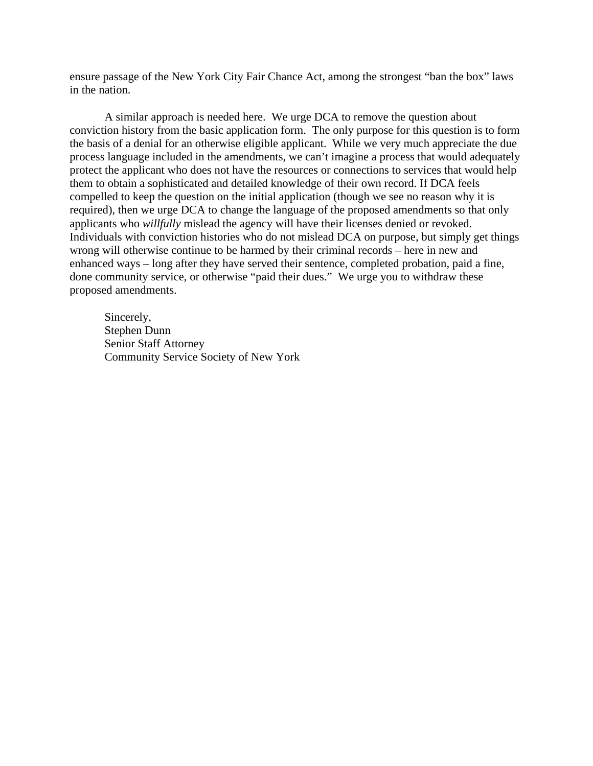ensure passage of the New York City Fair Chance Act, among the strongest "ban the box" laws in the nation.

A similar approach is needed here. We urge DCA to remove the question about conviction history from the basic application form. The only purpose for this question is to form the basis of a denial for an otherwise eligible applicant. While we very much appreciate the due process language included in the amendments, we can't imagine a process that would adequately protect the applicant who does not have the resources or connections to services that would help them to obtain a sophisticated and detailed knowledge of their own record. If DCA feels compelled to keep the question on the initial application (though we see no reason why it is required), then we urge DCA to change the language of the proposed amendments so that only applicants who *willfully* mislead the agency will have their licenses denied or revoked. Individuals with conviction histories who do not mislead DCA on purpose, but simply get things wrong will otherwise continue to be harmed by their criminal records – here in new and enhanced ways – long after they have served their sentence, completed probation, paid a fine, done community service, or otherwise "paid their dues." We urge you to withdraw these proposed amendments.

Sincerely, Stephen Dunn Senior Staff Attorney Community Service Society of New York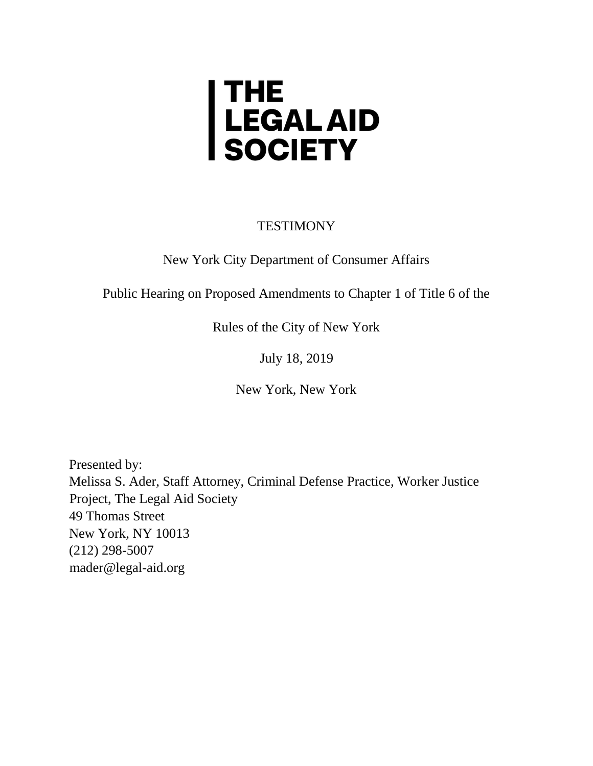# | THE<br>| LEGAL AID<br>| SOCIETY

TESTIMONY

New York City Department of Consumer Affairs

Public Hearing on Proposed Amendments to Chapter 1 of Title 6 of the

Rules of the City of New York

July 18, 2019

New York, New York

Presented by: Melissa S. Ader, Staff Attorney, Criminal Defense Practice, Worker Justice Project, The Legal Aid Society 49 Thomas Street New York, NY 10013 (212) 298-5007 mader@legal-aid.org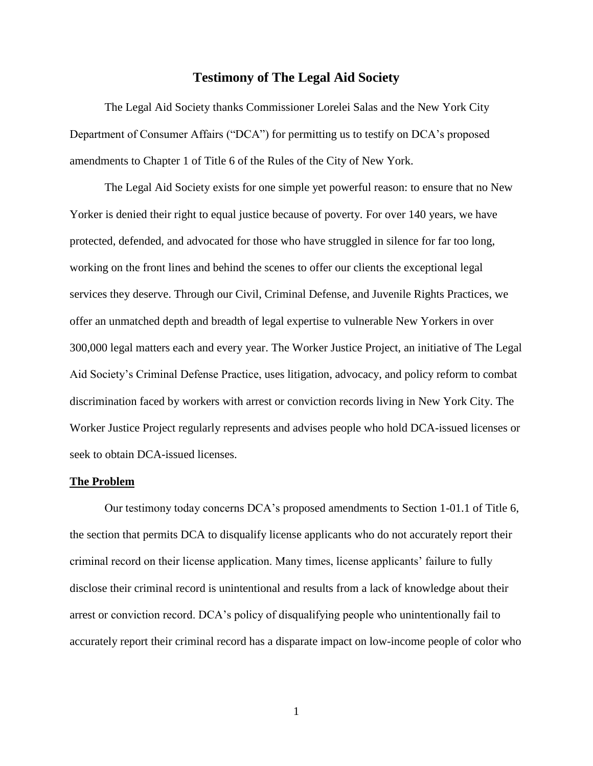#### **Testimony of The Legal Aid Society**

The Legal Aid Society thanks Commissioner Lorelei Salas and the New York City Department of Consumer Affairs ("DCA") for permitting us to testify on DCA's proposed amendments to Chapter 1 of Title 6 of the Rules of the City of New York.

The Legal Aid Society exists for one simple yet powerful reason: to ensure that no New Yorker is denied their right to equal justice because of poverty. For over 140 years, we have protected, defended, and advocated for those who have struggled in silence for far too long, working on the front lines and behind the scenes to offer our clients the exceptional legal services they deserve. Through our Civil, Criminal Defense, and Juvenile Rights Practices, we offer an unmatched depth and breadth of legal expertise to vulnerable New Yorkers in over 300,000 legal matters each and every year. The Worker Justice Project, an initiative of The Legal Aid Society's Criminal Defense Practice, uses litigation, advocacy, and policy reform to combat discrimination faced by workers with arrest or conviction records living in New York City. The Worker Justice Project regularly represents and advises people who hold DCA-issued licenses or seek to obtain DCA-issued licenses.

#### **The Problem**

Our testimony today concerns DCA's proposed amendments to Section 1-01.1 of Title 6, the section that permits DCA to disqualify license applicants who do not accurately report their criminal record on their license application. Many times, license applicants' failure to fully disclose their criminal record is unintentional and results from a lack of knowledge about their arrest or conviction record. DCA's policy of disqualifying people who unintentionally fail to accurately report their criminal record has a disparate impact on low-income people of color who

1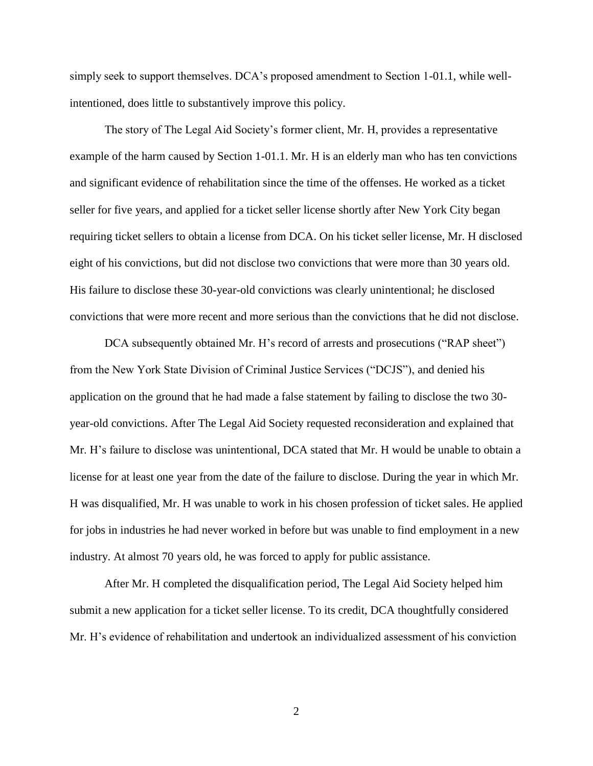simply seek to support themselves. DCA's proposed amendment to Section 1-01.1, while wellintentioned, does little to substantively improve this policy.

The story of The Legal Aid Society's former client, Mr. H, provides a representative example of the harm caused by Section 1-01.1. Mr. H is an elderly man who has ten convictions and significant evidence of rehabilitation since the time of the offenses. He worked as a ticket seller for five years, and applied for a ticket seller license shortly after New York City began requiring ticket sellers to obtain a license from DCA. On his ticket seller license, Mr. H disclosed eight of his convictions, but did not disclose two convictions that were more than 30 years old. His failure to disclose these 30-year-old convictions was clearly unintentional; he disclosed convictions that were more recent and more serious than the convictions that he did not disclose.

DCA subsequently obtained Mr. H's record of arrests and prosecutions ("RAP sheet") from the New York State Division of Criminal Justice Services ("DCJS"), and denied his application on the ground that he had made a false statement by failing to disclose the two 30 year-old convictions. After The Legal Aid Society requested reconsideration and explained that Mr. H's failure to disclose was unintentional, DCA stated that Mr. H would be unable to obtain a license for at least one year from the date of the failure to disclose. During the year in which Mr. H was disqualified, Mr. H was unable to work in his chosen profession of ticket sales. He applied for jobs in industries he had never worked in before but was unable to find employment in a new industry. At almost 70 years old, he was forced to apply for public assistance.

After Mr. H completed the disqualification period, The Legal Aid Society helped him submit a new application for a ticket seller license. To its credit, DCA thoughtfully considered Mr. H's evidence of rehabilitation and undertook an individualized assessment of his conviction

2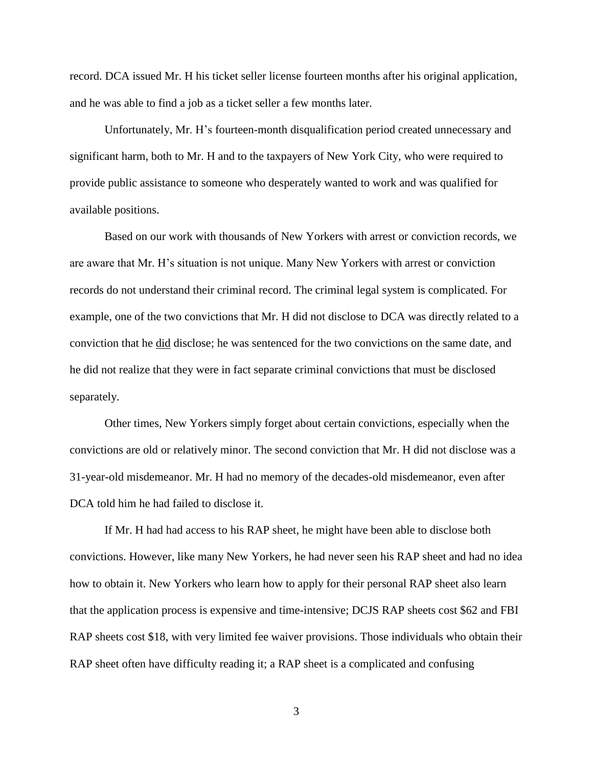record. DCA issued Mr. H his ticket seller license fourteen months after his original application, and he was able to find a job as a ticket seller a few months later.

Unfortunately, Mr. H's fourteen-month disqualification period created unnecessary and significant harm, both to Mr. H and to the taxpayers of New York City, who were required to provide public assistance to someone who desperately wanted to work and was qualified for available positions.

Based on our work with thousands of New Yorkers with arrest or conviction records, we are aware that Mr. H's situation is not unique. Many New Yorkers with arrest or conviction records do not understand their criminal record. The criminal legal system is complicated. For example, one of the two convictions that Mr. H did not disclose to DCA was directly related to a conviction that he did disclose; he was sentenced for the two convictions on the same date, and he did not realize that they were in fact separate criminal convictions that must be disclosed separately.

Other times, New Yorkers simply forget about certain convictions, especially when the convictions are old or relatively minor. The second conviction that Mr. H did not disclose was a 31-year-old misdemeanor. Mr. H had no memory of the decades-old misdemeanor, even after DCA told him he had failed to disclose it.

If Mr. H had had access to his RAP sheet, he might have been able to disclose both convictions. However, like many New Yorkers, he had never seen his RAP sheet and had no idea how to obtain it. New Yorkers who learn how to apply for their personal RAP sheet also learn that the application process is expensive and time-intensive; DCJS RAP sheets cost \$62 and FBI RAP sheets cost \$18, with very limited fee waiver provisions. Those individuals who obtain their RAP sheet often have difficulty reading it; a RAP sheet is a complicated and confusing

3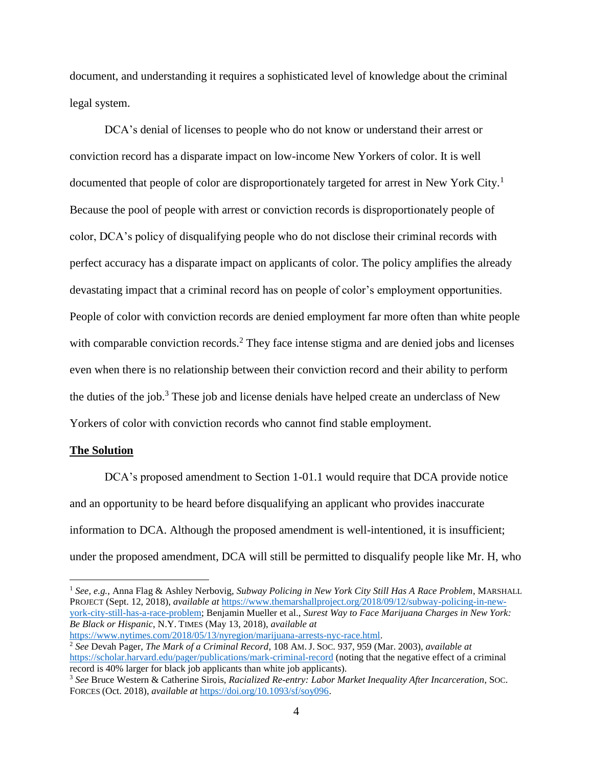document, and understanding it requires a sophisticated level of knowledge about the criminal legal system.

DCA's denial of licenses to people who do not know or understand their arrest or conviction record has a disparate impact on low-income New Yorkers of color. It is well documented that people of color are disproportionately targeted for arrest in New York City.<sup>1</sup> Because the pool of people with arrest or conviction records is disproportionately people of color, DCA's policy of disqualifying people who do not disclose their criminal records with perfect accuracy has a disparate impact on applicants of color. The policy amplifies the already devastating impact that a criminal record has on people of color's employment opportunities. People of color with conviction records are denied employment far more often than white people with comparable conviction records.<sup>2</sup> They face intense stigma and are denied jobs and licenses even when there is no relationship between their conviction record and their ability to perform the duties of the job.<sup>3</sup> These job and license denials have helped create an underclass of New Yorkers of color with conviction records who cannot find stable employment.

#### **The Solution**

 $\overline{a}$ 

DCA's proposed amendment to Section 1-01.1 would require that DCA provide notice and an opportunity to be heard before disqualifying an applicant who provides inaccurate information to DCA. Although the proposed amendment is well-intentioned, it is insufficient; under the proposed amendment, DCA will still be permitted to disqualify people like Mr. H, who

[https://www.nytimes.com/2018/05/13/nyregion/marijuana-arrests-nyc-race.html.](https://www.nytimes.com/2018/05/13/nyregion/marijuana-arrests-nyc-race.html)

<sup>1</sup> *See, e.g.*, Anna Flag & Ashley Nerbovig, *Subway Policing in New York City Still Has A Race Problem*, MARSHALL PROJECT (Sept. 12, 2018), *available at* [https://www.themarshallproject.org/2018/09/12/subway-policing-in-new](https://www.themarshallproject.org/2018/09/12/subway-policing-in-new-york-city-still-has-a-race-problem)[york-city-still-has-a-race-problem;](https://www.themarshallproject.org/2018/09/12/subway-policing-in-new-york-city-still-has-a-race-problem) Benjamin Mueller et al., *Surest Way to Face Marijuana Charges in New York: Be Black or Hispanic*, N.Y. TIMES (May 13, 2018), *available at* 

<sup>2</sup> *See* Devah Pager, *The Mark of a Criminal Record*, 108 AM.J. SOC. 937, 959 (Mar. 2003), *available at* <https://scholar.harvard.edu/pager/publications/mark-criminal-record> (noting that the negative effect of a criminal record is 40% larger for black job applicants than white job applicants).

<sup>3</sup> *See* Bruce Western & Catherine Sirois, *Racialized Re-entry: Labor Market Inequality After Incarceration*, SOC. FORCES (Oct. 2018), *available at* [https://doi.org/10.1093/sf/soy096.](https://doi.org/10.1093/sf/soy096)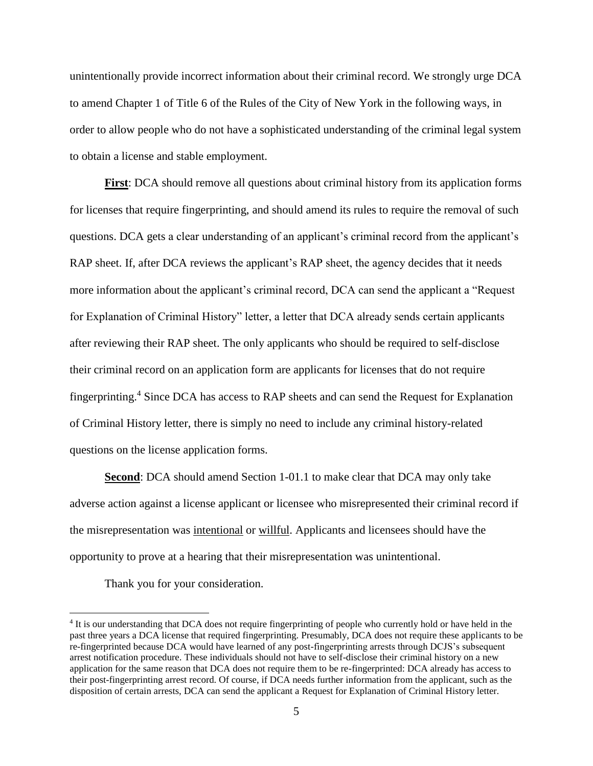unintentionally provide incorrect information about their criminal record. We strongly urge DCA to amend Chapter 1 of Title 6 of the Rules of the City of New York in the following ways, in order to allow people who do not have a sophisticated understanding of the criminal legal system to obtain a license and stable employment.

**First**: DCA should remove all questions about criminal history from its application forms for licenses that require fingerprinting, and should amend its rules to require the removal of such questions. DCA gets a clear understanding of an applicant's criminal record from the applicant's RAP sheet. If, after DCA reviews the applicant's RAP sheet, the agency decides that it needs more information about the applicant's criminal record, DCA can send the applicant a "Request for Explanation of Criminal History" letter, a letter that DCA already sends certain applicants after reviewing their RAP sheet. The only applicants who should be required to self-disclose their criminal record on an application form are applicants for licenses that do not require fingerprinting.<sup>4</sup> Since DCA has access to RAP sheets and can send the Request for Explanation of Criminal History letter, there is simply no need to include any criminal history-related questions on the license application forms.

**Second**: DCA should amend Section 1-01.1 to make clear that DCA may only take adverse action against a license applicant or licensee who misrepresented their criminal record if the misrepresentation was intentional or willful. Applicants and licensees should have the opportunity to prove at a hearing that their misrepresentation was unintentional.

Thank you for your consideration.

<sup>&</sup>lt;sup>4</sup> It is our understanding that DCA does not require fingerprinting of people who currently hold or have held in the past three years a DCA license that required fingerprinting. Presumably, DCA does not require these applicants to be re-fingerprinted because DCA would have learned of any post-fingerprinting arrests through DCJS's subsequent arrest notification procedure. These individuals should not have to self-disclose their criminal history on a new application for the same reason that DCA does not require them to be re-fingerprinted: DCA already has access to their post-fingerprinting arrest record. Of course, if DCA needs further information from the applicant, such as the disposition of certain arrests, DCA can send the applicant a Request for Explanation of Criminal History letter.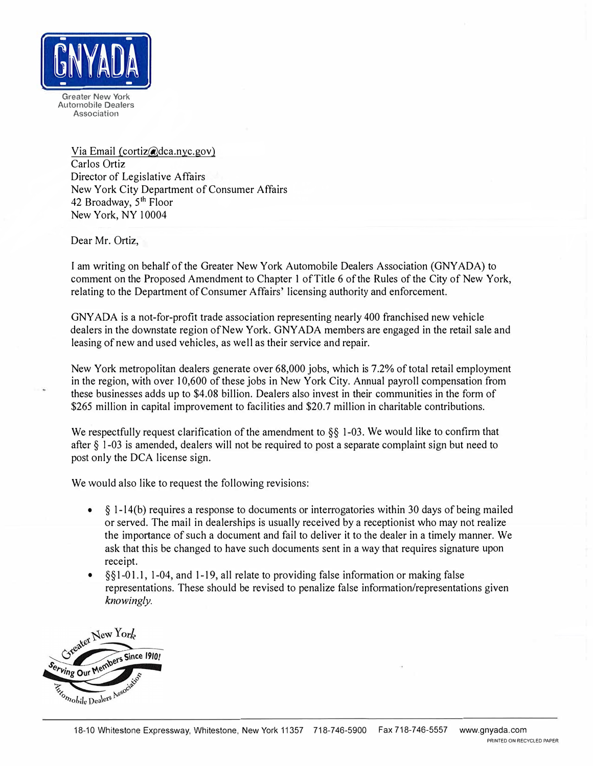

Greater New York Automobile Dealers Association

> Via Email (cortiz@dca.nyc.gov) Carlos Ortiz Director of Legislative Affairs New York City Department of Consumer Affairs 42 Broadway, 5<sup>th</sup> Floor New York, NY 10004

Dear Mr. Ortiz,

I am writing on behalf of the Greater New York Automobile Dealers Association (GNYADA) to comment on the Proposed Amendment to Chapter I ofTitle 6 ofthe Rules of the City of New York, relating to the Department ofConsumer Affairs' licensing authority and enforcement.

GNYADA is a not-for-profit trade association representing nearly 400 franchised new vehicle dealers in the downstate region of New York. GNYADA members are engaged in the retail sale and leasing of new and used vehicles, as well as their service and repair.

New York metropolitan dealers generate over 68,000 jobs, which is 7.2% of total retail employment in the region, with over I0,600 of these jobs in New York City. Annual payroll compensation from these businesses adds up to \$4.08 billion. Dealers also invest in their communities in the form of \$265 million in capital improvement to facilities and \$20.7 million in charitable contributions.

We respectfully request clarification of the amendment to  $\S$ § 1-03. We would like to confirm that after § 1-03 is amended, dealers will not be required to post a separate complaint sign but need to post only the DCA license sign.

We would also like to request the following revisions:

- $\bullet$   $\&$  1-14(b) requires a response to documents or interrogatories within 30 days of being mailed or served. The mail in dealerships is usually received by a receptionist who may not realize the importance of such a document and fail to deliver it to the dealer in a timely manner. We ask that this be changed to have such documents sent in a way that requires signature upon receipt.
- $\S_{1-01,1}$ , 1-04, and 1-19, all relate to providing false information or making false representations. These should be revised to penalize false information/representations given *knowingly.*

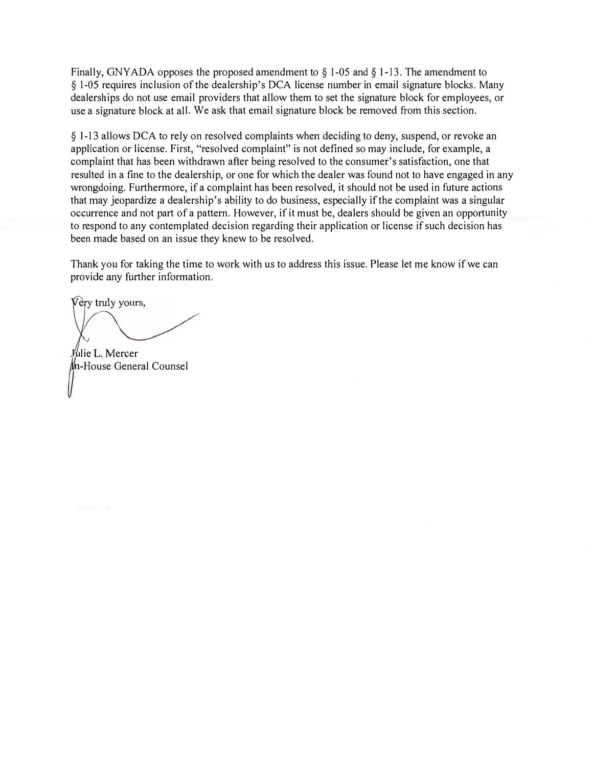Finally, GNYADA opposes the proposed amendment to  $\S$  1-05 and  $\S$  1-13. The amendment to § 1-05 requires inclusion of the dealership's DCA license number in email signature blocks. Many dealerships do not use email providers that allow them to set the signature block for employees, or use a signature block at all. We ask that email signature block be removed from this section.

§ 1-13 allows DCA to rely on resolved complaints when deciding to deny, suspend, or revoke an application or license. First, "resolved complaint" is not defined so may include, for example, a complaint that has been withdrawn after being resolved to the consumer's satisfaction, one that resulted in a fine to the dealership, or one for which the dealer was found not to have engaged in any wrongdoing. Furthermore, if a complaint has been resolved, it should not be used in future actions that may jeopardize a dealership's ability to do business, especially if the complaint was a singular occurrence and not part of a pattern. However, if it must be, dealers should be given an opportunity to respond to any contemplated decision regarding their application or license if such decision has been made based on an issue they knew to be resolved.

Thank you for taking the time to work with us to address this issue. Please let me know if we can provide any further information.

Very truly yours,

Julie L. Mercer<br>In-House General Counsel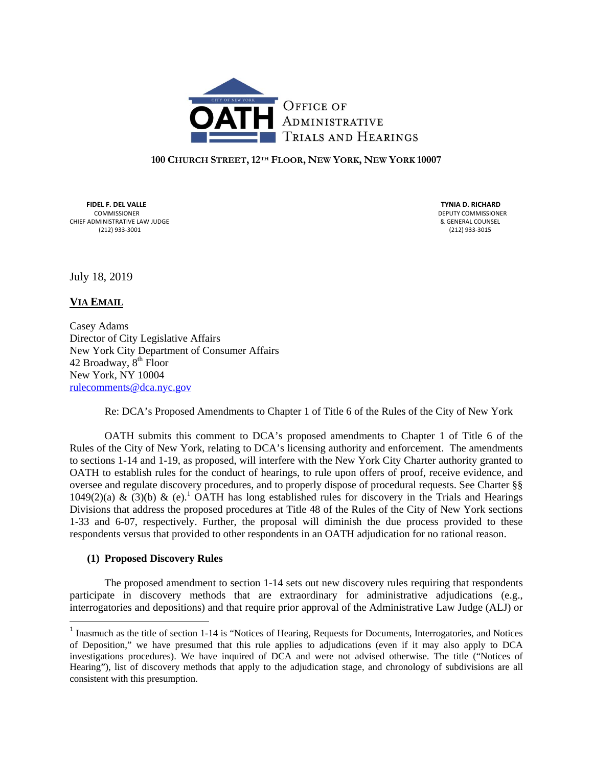

#### **100 CHURCH STREET, 12TH FLOOR, NEW YORK, NEW YORK 10007**

 **FIDEL F. DEL VALLE TYNIA D. RICHARD**  COMMISSIONER DEPUTY COMMISSIONER EXTREMENT ADMINISTRATIVE LAW JUDGE (212) 933-3001<br>
CHIEF ADMINISTRATIVE LAW JUDGE (212) 933-3001 (212) 933‐3001 (212) 933‐3015

July 18, 2019

**VIA EMAIL** 

Casey Adams Director of City Legislative Affairs New York City Department of Consumer Affairs 42 Broadway,  $8<sup>th</sup>$  Floor New York, NY 10004 rulecomments@dca.nyc.gov

Re: DCA's Proposed Amendments to Chapter 1 of Title 6 of the Rules of the City of New York

OATH submits this comment to DCA's proposed amendments to Chapter 1 of Title 6 of the Rules of the City of New York, relating to DCA's licensing authority and enforcement. The amendments to sections 1-14 and 1-19, as proposed, will interfere with the New York City Charter authority granted to OATH to establish rules for the conduct of hearings, to rule upon offers of proof, receive evidence, and oversee and regulate discovery procedures, and to properly dispose of procedural requests. See Charter §§ 1049(2)(a) & (3)(b) & (e).<sup>1</sup> OATH has long established rules for discovery in the Trials and Hearings Divisions that address the proposed procedures at Title 48 of the Rules of the City of New York sections 1-33 and 6-07, respectively. Further, the proposal will diminish the due process provided to these respondents versus that provided to other respondents in an OATH adjudication for no rational reason.

#### **(1) Proposed Discovery Rules**

The proposed amendment to section 1-14 sets out new discovery rules requiring that respondents participate in discovery methods that are extraordinary for administrative adjudications (e.g., interrogatories and depositions) and that require prior approval of the Administrative Law Judge (ALJ) or

<sup>&</sup>lt;sup>1</sup> Inasmuch as the title of section 1-14 is "Notices of Hearing, Requests for Documents, Interrogatories, and Notices of Deposition," we have presumed that this rule applies to adjudications (even if it may also apply to DCA investigations procedures). We have inquired of DCA and were not advised otherwise. The title ("Notices of Hearing"), list of discovery methods that apply to the adjudication stage, and chronology of subdivisions are all consistent with this presumption.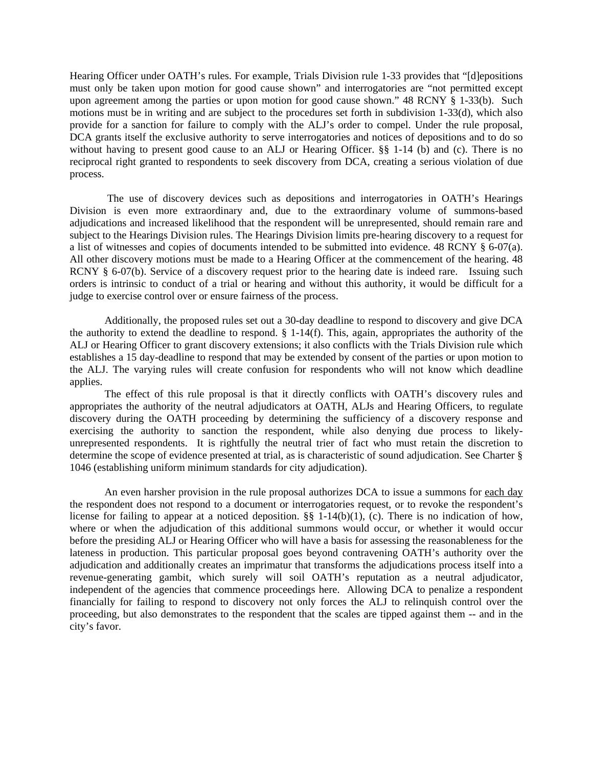Hearing Officer under OATH's rules. For example, Trials Division rule 1-33 provides that "[d]epositions must only be taken upon motion for good cause shown" and interrogatories are "not permitted except upon agreement among the parties or upon motion for good cause shown." 48 RCNY § 1-33(b). Such motions must be in writing and are subject to the procedures set forth in subdivision 1-33(d), which also provide for a sanction for failure to comply with the ALJ's order to compel. Under the rule proposal, DCA grants itself the exclusive authority to serve interrogatories and notices of depositions and to do so without having to present good cause to an ALJ or Hearing Officer.  $\S$ § 1-14 (b) and (c). There is no reciprocal right granted to respondents to seek discovery from DCA, creating a serious violation of due process.

 The use of discovery devices such as depositions and interrogatories in OATH's Hearings Division is even more extraordinary and, due to the extraordinary volume of summons-based adjudications and increased likelihood that the respondent will be unrepresented, should remain rare and subject to the Hearings Division rules. The Hearings Division limits pre-hearing discovery to a request for a list of witnesses and copies of documents intended to be submitted into evidence. 48 RCNY § 6-07(a). All other discovery motions must be made to a Hearing Officer at the commencement of the hearing. 48 RCNY § 6-07(b). Service of a discovery request prior to the hearing date is indeed rare. Issuing such orders is intrinsic to conduct of a trial or hearing and without this authority, it would be difficult for a judge to exercise control over or ensure fairness of the process.

Additionally, the proposed rules set out a 30-day deadline to respond to discovery and give DCA the authority to extend the deadline to respond.  $\S$  1-14(f). This, again, appropriates the authority of the ALJ or Hearing Officer to grant discovery extensions; it also conflicts with the Trials Division rule which establishes a 15 day-deadline to respond that may be extended by consent of the parties or upon motion to the ALJ. The varying rules will create confusion for respondents who will not know which deadline applies.

The effect of this rule proposal is that it directly conflicts with OATH's discovery rules and appropriates the authority of the neutral adjudicators at OATH, ALJs and Hearing Officers, to regulate discovery during the OATH proceeding by determining the sufficiency of a discovery response and exercising the authority to sanction the respondent, while also denying due process to likelyunrepresented respondents. It is rightfully the neutral trier of fact who must retain the discretion to determine the scope of evidence presented at trial, as is characteristic of sound adjudication. See Charter § 1046 (establishing uniform minimum standards for city adjudication).

An even harsher provision in the rule proposal authorizes DCA to issue a summons for each day the respondent does not respond to a document or interrogatories request, or to revoke the respondent's license for failing to appear at a noticed deposition. §§ 1-14(b)(1), (c). There is no indication of how, where or when the adjudication of this additional summons would occur, or whether it would occur before the presiding ALJ or Hearing Officer who will have a basis for assessing the reasonableness for the lateness in production. This particular proposal goes beyond contravening OATH's authority over the adjudication and additionally creates an imprimatur that transforms the adjudications process itself into a revenue-generating gambit, which surely will soil OATH's reputation as a neutral adjudicator, independent of the agencies that commence proceedings here. Allowing DCA to penalize a respondent financially for failing to respond to discovery not only forces the ALJ to relinquish control over the proceeding, but also demonstrates to the respondent that the scales are tipped against them -- and in the city's favor.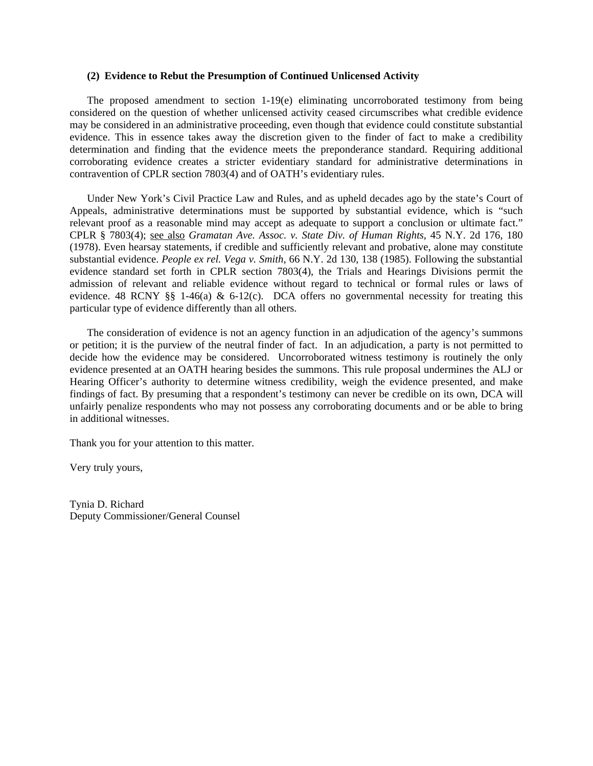#### **(2) Evidence to Rebut the Presumption of Continued Unlicensed Activity**

The proposed amendment to section 1-19(e) eliminating uncorroborated testimony from being considered on the question of whether unlicensed activity ceased circumscribes what credible evidence may be considered in an administrative proceeding, even though that evidence could constitute substantial evidence. This in essence takes away the discretion given to the finder of fact to make a credibility determination and finding that the evidence meets the preponderance standard. Requiring additional corroborating evidence creates a stricter evidentiary standard for administrative determinations in contravention of CPLR section 7803(4) and of OATH's evidentiary rules.

Under New York's Civil Practice Law and Rules, and as upheld decades ago by the state's Court of Appeals, administrative determinations must be supported by substantial evidence, which is "such relevant proof as a reasonable mind may accept as adequate to support a conclusion or ultimate fact." CPLR § 7803(4); see also *Gramatan Ave. Assoc. v. State Div. of Human Rights*, 45 N.Y. 2d 176, 180 (1978). Even hearsay statements, if credible and sufficiently relevant and probative, alone may constitute substantial evidence. *People ex rel. Vega v. Smith*, 66 N.Y. 2d 130, 138 (1985). Following the substantial evidence standard set forth in CPLR section 7803(4), the Trials and Hearings Divisions permit the admission of relevant and reliable evidence without regard to technical or formal rules or laws of evidence. 48 RCNY §§ 1-46(a) & 6-12(c). DCA offers no governmental necessity for treating this particular type of evidence differently than all others.

The consideration of evidence is not an agency function in an adjudication of the agency's summons or petition; it is the purview of the neutral finder of fact. In an adjudication, a party is not permitted to decide how the evidence may be considered. Uncorroborated witness testimony is routinely the only evidence presented at an OATH hearing besides the summons. This rule proposal undermines the ALJ or Hearing Officer's authority to determine witness credibility, weigh the evidence presented, and make findings of fact. By presuming that a respondent's testimony can never be credible on its own, DCA will unfairly penalize respondents who may not possess any corroborating documents and or be able to bring in additional witnesses.

Thank you for your attention to this matter.

Very truly yours,

Tynia D. Richard Deputy Commissioner/General Counsel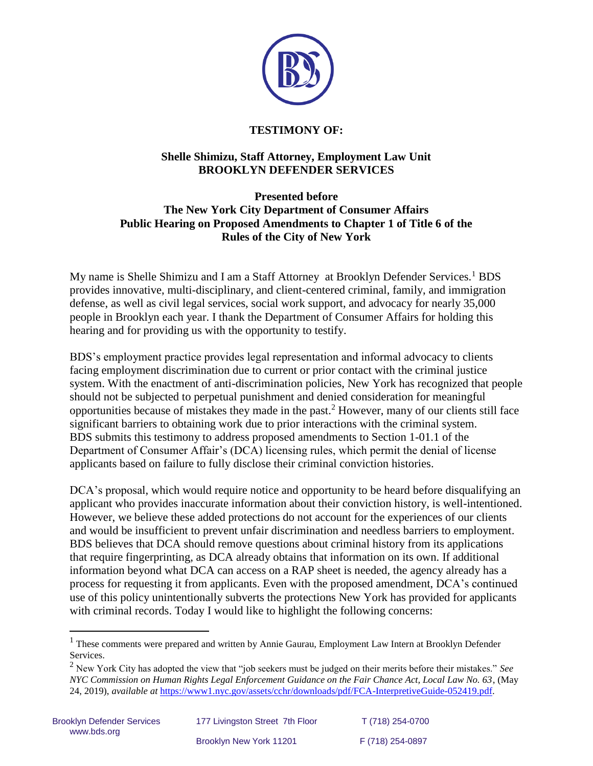

# **TESTIMONY OF:**

# **Shelle Shimizu, Staff Attorney, Employment Law Unit BROOKLYN DEFENDER SERVICES**

#### **Presented before The New York City Department of Consumer Affairs Public Hearing on Proposed Amendments to Chapter 1 of Title 6 of the Rules of the City of New York**

My name is Shelle Shimizu and I am a Staff Attorney at Brooklyn Defender Services.<sup>1</sup> BDS provides innovative, multi-disciplinary, and client-centered criminal, family, and immigration defense, as well as civil legal services, social work support, and advocacy for nearly 35,000 people in Brooklyn each year. I thank the Department of Consumer Affairs for holding this hearing and for providing us with the opportunity to testify.

BDS's employment practice provides legal representation and informal advocacy to clients facing employment discrimination due to current or prior contact with the criminal justice system. With the enactment of anti-discrimination policies, New York has recognized that people should not be subjected to perpetual punishment and denied consideration for meaningful opportunities because of mistakes they made in the past.<sup>2</sup> However, many of our clients still face significant barriers to obtaining work due to prior interactions with the criminal system. BDS submits this testimony to address proposed amendments to Section 1-01.1 of the Department of Consumer Affair's (DCA) licensing rules, which permit the denial of license applicants based on failure to fully disclose their criminal conviction histories.

DCA's proposal, which would require notice and opportunity to be heard before disqualifying an applicant who provides inaccurate information about their conviction history, is well-intentioned. However, we believe these added protections do not account for the experiences of our clients and would be insufficient to prevent unfair discrimination and needless barriers to employment. BDS believes that DCA should remove questions about criminal history from its applications that require fingerprinting, as DCA already obtains that information on its own. If additional information beyond what DCA can access on a RAP sheet is needed, the agency already has a process for requesting it from applicants. Even with the proposed amendment, DCA's continued use of this policy unintentionally subverts the protections New York has provided for applicants with criminal records. Today I would like to highlight the following concerns:

<sup>&</sup>lt;sup>1</sup> These comments were prepared and written by Annie Gaurau, Employment Law Intern at Brooklyn Defender Services.

<sup>2</sup> New York City has adopted the view that "job seekers must be judged on their merits before their mistakes." *See NYC Commission on Human Rights Legal Enforcement Guidance on the Fair Chance Act, Local Law No. 63*, (May 24, 2019), *available at* [https://www1.nyc.gov/assets/cchr/downloads/pdf/FCA-InterpretiveGuide-052419.pdf.](https://www1.nyc.gov/assets/cchr/downloads/pdf/FCA-InterpretiveGuide-052419.pdf)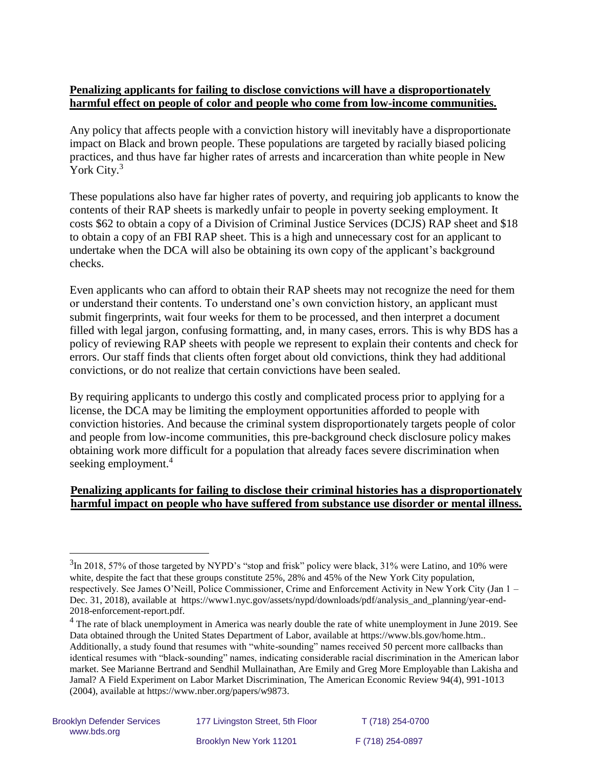# **Penalizing applicants for failing to disclose convictions will have a disproportionately harmful effect on people of color and people who come from low-income communities.**

Any policy that affects people with a conviction history will inevitably have a disproportionate impact on Black and brown people. These populations are targeted by racially biased policing practices, and thus have far higher rates of arrests and incarceration than white people in New York City.<sup>3</sup>

These populations also have far higher rates of poverty, and requiring job applicants to know the contents of their RAP sheets is markedly unfair to people in poverty seeking employment. It costs \$62 to obtain a copy of a Division of Criminal Justice Services (DCJS) RAP sheet and \$18 to obtain a copy of an FBI RAP sheet. This is a high and unnecessary cost for an applicant to undertake when the DCA will also be obtaining its own copy of the applicant's background checks.

Even applicants who can afford to obtain their RAP sheets may not recognize the need for them or understand their contents. To understand one's own conviction history, an applicant must submit fingerprints, wait four weeks for them to be processed, and then interpret a document filled with legal jargon, confusing formatting, and, in many cases, errors. This is why BDS has a policy of reviewing RAP sheets with people we represent to explain their contents and check for errors. Our staff finds that clients often forget about old convictions, think they had additional convictions, or do not realize that certain convictions have been sealed.

By requiring applicants to undergo this costly and complicated process prior to applying for a license, the DCA may be limiting the employment opportunities afforded to people with conviction histories. And because the criminal system disproportionately targets people of color and people from low-income communities, this pre-background check disclosure policy makes obtaining work more difficult for a population that already faces severe discrimination when seeking employment.<sup>4</sup>

## **Penalizing applicants for failing to disclose their criminal histories has a disproportionately harmful impact on people who have suffered from substance use disorder or mental illness.**

 $3$ In 2018, 57% of those targeted by NYPD's "stop and frisk" policy were black, 31% were Latino, and 10% were white, despite the fact that these groups constitute  $25\%$ ,  $28\%$  and 45% of the New York City population, respectively. See James O'Neill, Police Commissioner, Crime and Enforcement Activity in New York City (Jan 1 – Dec. 31, 2018), available at [https://www1.nyc.gov/assets/nypd/downloads/pdf/analysis\\_and\\_planning/year-end-](https://www1.nyc.gov/assets/nypd/downloads/pdf/analysis_and_planning/year-end-2018-enforcement-report.pdf)[2018-enforcement-report.pdf.](https://www1.nyc.gov/assets/nypd/downloads/pdf/analysis_and_planning/year-end-2018-enforcement-report.pdf)

<sup>&</sup>lt;sup>4</sup> The rate of black unemployment in America was nearly double the rate of white unemployment in June 2019. See Data obtained through the United States Department of Labor, available at [https://www.bls.gov/home.htm.](https://www.bls.gov/home.htm). Additionally, a study found that resumes with "white-sounding" names received 50 percent more callbacks than identical resumes with "black-sounding" names, indicating considerable racial discrimination in the American labor market. See Marianne Bertrand and Sendhil Mullainathan, Are Emily and Greg More Employable than Lakisha and Jamal? A Field Experiment on Labor Market Discrimination, The American Economic Review 94(4), 991-1013 (2004), available at [https://www.nber.org/papers/w9873.](https://www.nber.org/papers/w9873)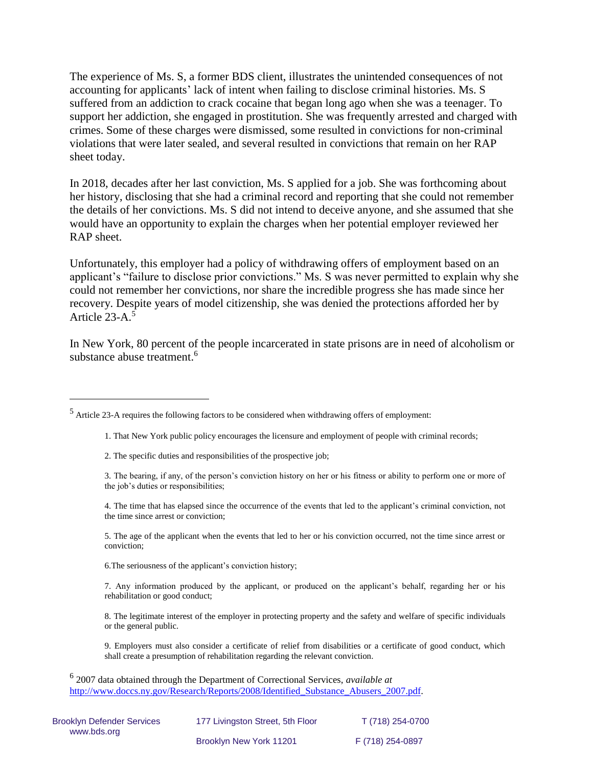The experience of Ms. S, a former BDS client, illustrates the unintended consequences of not accounting for applicants' lack of intent when failing to disclose criminal histories. Ms. S suffered from an addiction to crack cocaine that began long ago when she was a teenager. To support her addiction, she engaged in prostitution. She was frequently arrested and charged with crimes. Some of these charges were dismissed, some resulted in convictions for non-criminal violations that were later sealed, and several resulted in convictions that remain on her RAP sheet today.

In 2018, decades after her last conviction, Ms. S applied for a job. She was forthcoming about her history, disclosing that she had a criminal record and reporting that she could not remember the details of her convictions. Ms. S did not intend to deceive anyone, and she assumed that she would have an opportunity to explain the charges when her potential employer reviewed her RAP sheet.

Unfortunately, this employer had a policy of withdrawing offers of employment based on an applicant's "failure to disclose prior convictions." Ms. S was never permitted to explain why she could not remember her convictions, nor share the incredible progress she has made since her recovery. Despite years of model citizenship, she was denied the protections afforded her by Article 23-A.<sup>5</sup>

In New York, 80 percent of the people incarcerated in state prisons are in need of alcoholism or substance abuse treatment.<sup>6</sup>

- 1. That New York public policy encourages the licensure and employment of people with criminal records;
- 2. The specific duties and responsibilities of the prospective job;

 $\overline{a}$ 

3. The bearing, if any, of the person's conviction history on her or his fitness or ability to perform one or more of the job's duties or responsibilities;

4. The time that has elapsed since the occurrence of the events that led to the applicant's criminal conviction, not the time since arrest or conviction;

5. The age of the applicant when the events that led to her or his conviction occurred, not the time since arrest or conviction;

6.The seriousness of the applicant's conviction history;

7. Any information produced by the applicant, or produced on the applicant's behalf, regarding her or his rehabilitation or good conduct;

8. The legitimate interest of the employer in protecting property and the safety and welfare of specific individuals or the general public.

9. Employers must also consider a certificate of relief from disabilities or a certificate of good conduct, which shall create a presumption of rehabilitation regarding the relevant conviction.

6 2007 data obtained through the Department of Correctional Services, *available at*  http://www.doccs.ny.gov/Research/Reports/2008/Identified Substance Abusers 2007.pdf.

| <b>Brooklyn Defender Services</b><br>www.bds.org | 177 Livingston Street, 5th Floor | T (718) 254-0700 |
|--------------------------------------------------|----------------------------------|------------------|
|                                                  | Brooklyn New York 11201          | F (718) 254-0897 |

<sup>5</sup> Article 23-A requires the following factors to be considered when withdrawing offers of employment: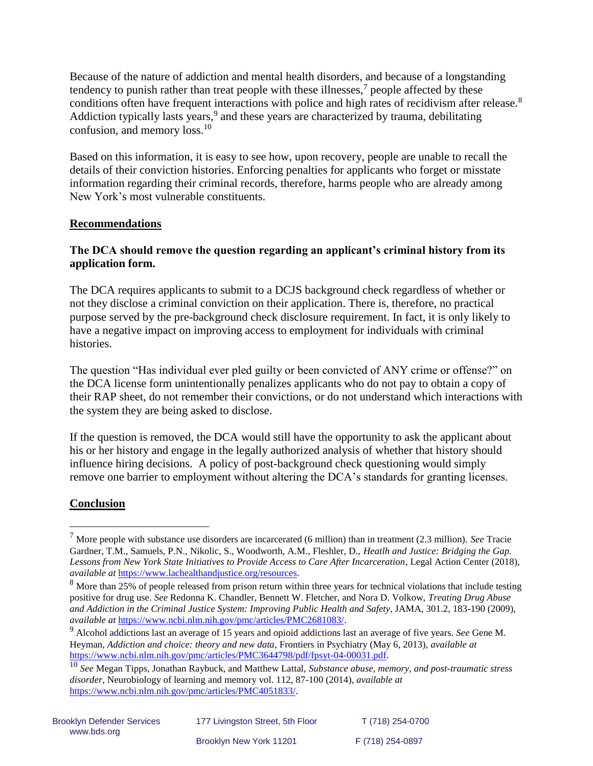Because of the nature of addiction and mental health disorders, and because of a longstanding tendency to punish rather than treat people with these illnesses,<sup>7</sup> people affected by these conditions often have frequent interactions with police and high rates of recidivism after release.<sup>8</sup> Addiction typically lasts years,<sup>9</sup> and these years are characterized by trauma, debilitating confusion, and memory loss.<sup>10</sup>

Based on this information, it is easy to see how, upon recovery, people are unable to recall the details of their conviction histories. Enforcing penalties for applicants who forget or misstate information regarding their criminal records, therefore, harms people who are already among New York's most vulnerable constituents.

## **Recommendations**

# **The DCA should remove the question regarding an applicant's criminal history from its application form.**

The DCA requires applicants to submit to a DCJS background check regardless of whether or not they disclose a criminal conviction on their application. There is, therefore, no practical purpose served by the pre-background check disclosure requirement. In fact, it is only likely to have a negative impact on improving access to employment for individuals with criminal histories.

The question "Has individual ever pled guilty or been convicted of ANY crime or offense?" on the DCA license form unintentionally penalizes applicants who do not pay to obtain a copy of their RAP sheet, do not remember their convictions, or do not understand which interactions with the system they are being asked to disclose.

If the question is removed, the DCA would still have the opportunity to ask the applicant about his or her history and engage in the legally authorized analysis of whether that history should influence hiring decisions. A policy of post-background check questioning would simply remove one barrier to employment without altering the DCA's standards for granting licenses.

## **Conclusion**

<sup>7</sup> More people with substance use disorders are incarcerated (6 million) than in treatment (2.3 million). *See* Tracie Gardner, T.M., Samuels, P.N., Nikolic, S., Woodworth, A.M., Fleshler, D., *Heatlh and Justice: Bridging the Gap. Lessons from New York State Initiatives to Provide Access to Care After Incarceration*, Legal Action Center (2018), *available at* [https://www.lachealthandjustice.org/resources.](https://www.lachealthandjustice.org/resources)

<sup>&</sup>lt;sup>8</sup> More than 25% of people released from prison return within three years for technical violations that include testing positive for drug use. *See* Redonna K. Chandler, Bennett W. Fletcher, and Nora D. Volkow, *Treating Drug Abuse and Addiction in the Criminal Justice System: Improving Public Health and Safety*, JAMA, 301.2, 183-190 (2009), *available at* [https://www.ncbi.nlm.nih.gov/pmc/articles/PMC2681083/.](https://www.ncbi.nlm.nih.gov/pmc/articles/PMC2681083/)

<sup>9</sup> Alcohol addictions last an average of 15 years and opioid addictions last an average of five years. *See* Gene M. Heyman, *Addiction and choice: theory and new data*, Frontiers in Psychiatry (May 6, 2013), *available at*  [https://www.ncbi.nlm.nih.gov/pmc/articles/PMC3644798/pdf/fpsyt-04-00031.pdf.](https://www.ncbi.nlm.nih.gov/pmc/articles/PMC3644798/pdf/fpsyt-04-00031.pdf)

<sup>10</sup> *See* Megan Tipps, Jonathan Raybuck, and Matthew Lattal, *Substance abuse, memory, and post-traumatic stress disorder*, Neurobiology of learning and memory vol. 112, 87-100 (2014), *available at* [https://www.ncbi.nlm.nih.gov/pmc/articles/PMC4051833/.](https://www.ncbi.nlm.nih.gov/pmc/articles/PMC4051833/)